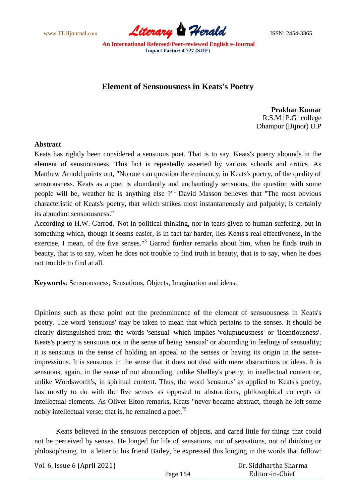www.TLHjournal.com **Literary Herald ISSN: 2454-3365** 

## **Element of Sensuousness in Keats's Poetry**

**Prakhar Kumar** R.S.M [P.G] college Dhampur (Bijnor) U.P

## **Abstract**

Keats has rightly been considered a sensuous poet. That is to say. Keats's poetry abounds in the element of sensuousness. This fact is repeatedly asserted by various schools and critics. As Matthew Arnold points out, "No one can question the eminency, in Keats's poetry, of the quality of sensuousness. Keats as a poet is abundantly and enchantingly sensuous; the question with some people will be, weather he is anything else  $2<sup>n1</sup>$  David Masson believes that "The most obvious characteristic of Keats's poetry, that which strikes most instantaneously and palpably; is certainly its abundant sensuousness."

According to H.W. Garrod, 'Not in political thinking, nor in tears given to human suffering, but in something which, though it seems easier, is in fact far harder, lies Keats's real effectiveness, in the exercise, I mean, of the five senses."<sup>3</sup> Garrod further remarks about him, when he finds truth in beauty, that is to say, when he does not trouble to find truth in beauty, that is to say, when he does not trouble to find at all.

**Keywords**: Sensuousness, Sensations, Objects, Imagination and ideas.

Opinions such as these point out the predominance of the element of sensuousness in Keats's poetry. The word 'sensuous' may be taken to mean that which pertains to the senses. It should be clearly distinguished from the words 'sensual' which implies 'voluptuousness' or 'licentiousness'. Keats's poetry is sensuous not in the sense of being 'sensual' or abounding in feelings of sensuality; it is sensuous in the sense of holding an appeal to the senses or having its origin in the senseimpressions. It is sensuous in the sense that it does not deal with mere abstractions or ideas. It is sensuous, again, in the sense of not abounding, unlike Shelley's poetry, in intellectual content or, unlike Wordsworth's, in spiritual content. Thus, the word 'sensuous' as applied to Keats's poetry, has mostly to do with the five senses as opposed to abstractions, philosophical concepts or intellectual elements. As Oliver Elton remarks, Keats "never became abstract, though he left some nobly intellectual verse; that is, he remained a poet.<sup>"5</sup>

Keats believed in the sensuous perception of objects, and cared little for things that could not be perceived by senses. He longed for life of sensations, not of sensations, not of thinking or philosophising. In a letter to his friend Bailey, he expressed this longing in the words that follow: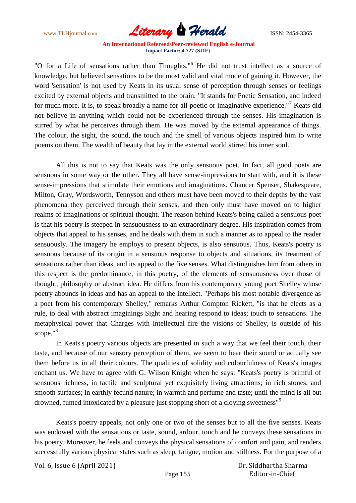www.TLHjournal.com **Literary Herald ISSN: 2454-3365** 

"O for a Life of sensations rather than Thoughts."<sup>6</sup> He did not trust intellect as a source of knowledge, but believed sensations to be the most valid and vital mode of gaining it. However, the word 'sensation' is not used by Keats in its usual sense of perception through senses or feelings excited by external objects and transmitted to the brain. "It stands for Poetic Sensation, and indeed for much more. It is, to speak broadly a name for all poetic or imaginative experience."<sup>7</sup> Keats did not believe in anything which could not be experienced through the senses. His imagination is stirred by what he perceives through them. He was moved by the external appearance of things. The colour, the sight, the sound, the touch and the smell of various objects inspired him to write poems on them. The wealth of beauty that lay in the external world stirred his inner soul.

All this is not to say that Keats was the only sensuous poet. In fact, all good poets are sensuous in some way or the other. They all have sense-impressions to start with, and it is these sense-impressions that stimulate their emotions and imaginations. Chaucer Spenser, Shakespeare, Milton, Gray, Wordsworth, Tennyson and others must have been moved to their depths by the vast phenomena they perceived through their senses, and then only must have moved on to higher realms of imaginations or spiritual thought. The reason behind Keats's being called a sensuous poet is that his poetry is steeped in sensuousness to an extraordinary degree. His inspiration comes from objects that appeal to his senses, and he deals with them in such a manner as to appeal to the reader sensuously. The imagery he employs to present objects, is also sensuous. Thus, Keats's poetry is sensuous because of its origin in a sensuous response to objects and situations, its treatment of sensations rather than ideas, and its appeal to the five senses. What distinguishes him from others in this respect is the predominance, in this poetry, of the elements of sensuousness over those of thought, philosophy or abstract idea. He differs from his contemporary young poet Shelley whose poetry abounds in ideas and has an appeal to the intellect. "Perhaps his most notable divergence as a poet from his contemporary Shelley," remarks Arthur Compton Rickett, "is that he elects as a rule, to deal with abstract imaginings Sight and hearing respond to ideas; touch to sensations. The metaphysical power that Charges with intellectual fire the visions of Shelley, is outside of his scope."<sup>8</sup>

In Keats's poetry various objects are presented in such a way that we feel their touch, their taste, and because of our sensory perception of them, we seem to hear their sound or actually see them before us in all their colours. The qualities of solidity and colourfulness of Keats's images enchant us. We have to agree with G. Wilson Knight when he says: "Keats's poetry is brimful of sensuous richness, in tactile and sculptural yet exquisitely living attractions; in rich stones, and smooth surfaces; in earthly fecund nature; in warmth and perfume and taste; until the mind is all but drowned, fumed intoxicated by a pleasure just stopping short of a cloying sweetness"<sup>9</sup>

Keats's poetry appeals, not only one or two of the senses but to all the five senses. Keats was endowed with the sensations or taste, sound, ardour, touch and he conveys these sensations in his poetry. Moreover, he feels and conveys the physical sensations of comfort and pain, and renders successfully various physical states such as sleep, fatigue, motion and stillness. For the purpose of a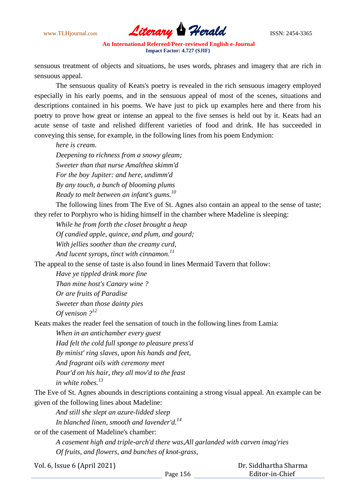

sensuous treatment of objects and situations, he uses words, phrases and imagery that are rich in sensuous appeal.

The sensuous quality of Keats's poetry is revealed in the rich sensuous imagery employed especially in his early poems, and in the sensuous appeal of most of the scenes, situations and descriptions contained in his poems. We have just to pick up examples here and there from his poetry to prove how great or intense an appeal to the five senses is held out by it. Keats had an acute sense of taste and relished different varieties of food and drink. He has succeeded in conveying this sense, for example, in the following lines from his poem Endymion:

*here is cream.*

*Deepening to richness from a snowy gleam; Sweeter than that nurse Amalthea skimm'd For the boy Jupiter: and here, undimm'd By any touch, a bunch of blooming plums Ready to melt between an infant's gums.<sup>10</sup>*

The following lines from The Eve of St. Agnes also contain an appeal to the sense of taste; they refer to Porphyro who is hiding himself in the chamber where Madeline is sleeping:

*While he from forth the closet brought a heap*

*Of candied apple, quince, and plum, and gourd;*

*With jellies soother than the creamy curd,*

*And lucent syrops, tinct with cinnamon.<sup>11</sup>*

The appeal to the sense of taste is also found in lines Mermaid Tavern that follow:

*Have ye tippled drink more fine Than mine host's Canary wine ? Or are fruits of Paradise Sweeter than those dainty pies Of venison ?<sup>12</sup>*

Keats makes the reader feel the sensation of touch in the following lines from Lamia:

*When in an antichamber every guest Had felt the cold full sponge to pleasure press'd By minist' ring slaves, upon his hands and feet, And fragrant oils with ceremony meet Pour'd on his hair, they all mov'd to the feast in white robes.<sup>13</sup>*

The Eve of St. Agnes abounds in descriptions containing a strong visual appeal. An example can be given of the following lines about Madeline:

*And still she slept an azure-lidded sleep In blanched linen, smooth and lavender'd.<sup>14</sup>* or of the casement of Madeline's chamber:

> *A casement high and triple-arch'd there was,All garlanded with carven imag'ries Of fruits, and flowers, and bunches of knot-grass,*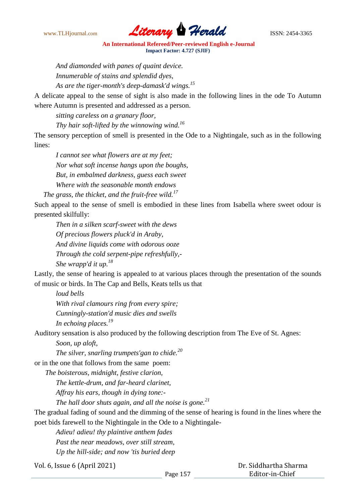

*And diamonded with panes of quaint device. Innumerable of stains and splendid dyes, As are the tiger-month's deep-damask'd wings.<sup>15</sup>*

A delicate appeal to the sense of sight is also made in the following lines in the ode To Autumn where Autumn is presented and addressed as a person.

*sitting careless on a granary floor,*

*Thy hair soft-lifted by the winnowing wind.<sup>16</sup>*

The sensory perception of smell is presented in the Ode to a Nightingale, such as in the following lines:

*I cannot see what flowers are at my feet; Nor what soft incense hangs upon the boughs, But, in embalmed darkness, guess each sweet Where with the seasonable month endows* 

 *The grass, the thicket, and the fruit-free wild.<sup>17</sup>*

Such appeal to the sense of smell is embodied in these lines from Isabella where sweet odour is presented skilfully:

*Then in a silken scarf-sweet with the dews Of precious flowers pluck'd in Araby, And divine liquids come with odorous ooze Through the cold serpent-pipe refreshfully,- She wrapp'd it up.<sup>18</sup>*

Lastly, the sense of hearing is appealed to at various places through the presentation of the sounds of music or birds. In The Cap and Bells, Keats tells us that

*loud bells With rival clamours ring from every spire; Cunningly-station'd music dies and swells In echoing places.<sup>19</sup>*

Auditory sensation is also produced by the following description from The Eve of St. Agnes:

*Soon, up aloft,*

*The silver, snarling trumpets'gan to chide.<sup>20</sup>*

or in the one that follows from the same poem:

*The boisterous, midnight, festive clarion,* 

*The kettle-drum, and far-heard clarinet,* 

*Affray his ears, though in dying tone:-*

*The hall door shuts again, and all the noise is gone.<sup>21</sup>*

The gradual fading of sound and the dimming of the sense of hearing is found in the lines where the poet bids farewell to the Nightingale in the Ode to a Nightingale-

*Adieu! adieu! thy plaintive anthem fades*

*Past the near meadows, over still stream,*

*Up the hill-side; and now 'tis buried deep*

Vol. 6, Issue 6 (April 2021)

 Dr. Siddhartha Sharma Editor-in-Chief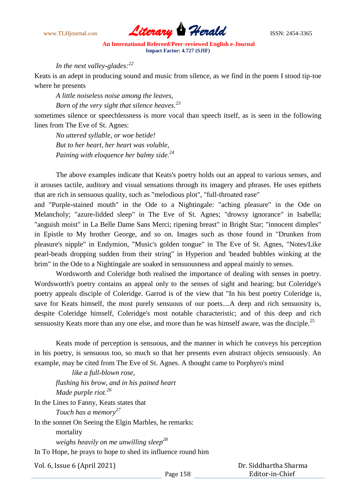

## *In the next valley-glades:<sup>22</sup>*

Keats is an adept in producing sound and music from silence, as we find in the poem I stood tip-toe where he presents

*A little noiseless noise among the leaves,*

*Born of the very sight that silence heaves.<sup>23</sup>*

sometimes silence or speechlessness is more vocal than speech itself, as is seen in the following lines from The Eve of St. Agnes:

*No uttered syllable, or woe betide! But to her heart, her heart was voluble, Paining with eloquence her balmy side.<sup>24</sup>*

The above examples indicate that Keats's poetry holds out an appeal to various senses, and it arouses tactile, auditory and visual sensations through its imagery and phrases. He uses epithets that are rich in sensuous quality, such as "melodious plot", "full-throated ease"

and "Purple-stained mouth" in the Ode to a Nightingale: "aching pleasure" in the Ode on Melancholy; "azure-lidded sleep" in The Eve of St. Agnes; "drowsy ignorance" in Isabella; "anguish moist" in La Belle Dame Sans Merci; ripening breast" in Bright Star; "innocent dimples" in Epistle to My brother George, and so on. Images such as those found in "Drunken from pleasure's nipple" in Endymion, "Music's golden tongue" in The Eve of St. Agnes, "Notes/Like pearl-beads dropping sudden from their string" in Hyperion and 'beaded bubbles winking at the brim" in the Ode to a Nightingale are soaked in sensuousness and appeal mainly to senses.

Wordsworth and Coleridge both realised the importance of dealing with senses in poetry. Wordsworth's poetry contains an appeal only to the senses of sight and hearing; but Coleridge's poetry appeals disciple of Coleridge. Garrod is of the view that "In his best poetry Coleridge is, save for Keats himself, the most purely sensuous of our poets....A deep and rich sensuosity is, despite Coleridge himself, Coleridge's most notable characteristic; and of this deep and rich sensuosity Keats more than any one else, and more than he was himself aware, was the disciple.<sup>25</sup>

Keats mode of perception is sensuous, and the manner in which he conveys his perception in his poetry, is sensuous too, so much so that her presents even abstract objects sensuously. An example, may be cited from The Eve of St. Agnes. A thought came to Porphyro's mind

 *like a full-blown rose, flushing his brow, and in his pained heart Made purple riot.<sup>26</sup>* In the Lines to Fanny, Keats states that *Touch has a memory<sup>27</sup>* In the sonnet On Seeing the Elgin Marbles, he remarks: mortality *weighs heavily on me unwilling sleep<sup>28</sup>* In To Hope, he prays to hope to shed its influence round him

Vol. 6, Issue 6 (April 2021)

 Dr. Siddhartha Sharma Editor-in-Chief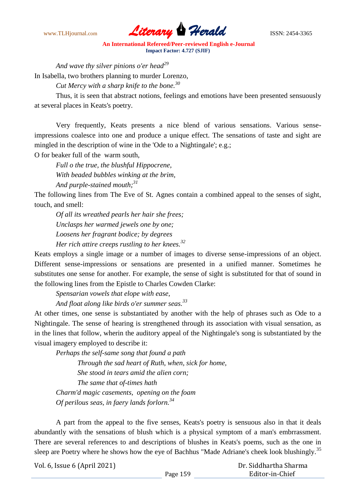

*And wave thy silver pinions o'er head<sup>29</sup>*

In Isabella, two brothers planning to murder Lorenzo,

*Cut Mercy with a sharp knife to the bone.<sup>30</sup>*

Thus, it is seen that abstract notions, feelings and emotions have been presented sensuously at several places in Keats's poetry.

Very frequently, Keats presents a nice blend of various sensations. Various senseimpressions coalesce into one and produce a unique effect. The sensations of taste and sight are mingled in the description of wine in the 'Ode to a Nightingale'; e.g.;

O for beaker full of the warm south,

*Full o the true, the blushful Hippocrene, With beaded bubbles winking at the brim, And purple-stained mouth;<sup>31</sup>*

The following lines from The Eve of St. Agnes contain a combined appeal to the senses of sight, touch, and smell:

*Of all its wreathed pearls her hair she frees; Unclasps her warmed jewels one by one; Loosens her fragrant bodice; by degrees Her rich attire creeps rustling to her knees.<sup>32</sup>*

Keats employs a single image or a number of images to diverse sense-impressions of an object. Different sense-impressions or sensations are presented in a unified manner. Sometimes he substitutes one sense for another. For example, the sense of sight is substituted for that of sound in the following lines from the Epistle to Charles Cowden Clarke:

*Spensarian vowels that elope with ease,*

*And float along like birds o'er summer seas.<sup>33</sup>*

At other times, one sense is substantiated by another with the help of phrases such as Ode to a Nightingale. The sense of hearing is strengthened through its association with visual sensation, as in the lines that follow, wherin the auditory appeal of the Nightingale's song is substantiated by the visual imagery employed to describe it:

*Perhaps the self-same song that found a path Through the sad heart of Ruth, when, sick for home, She stood in tears amid the alien corn; The same that of-times hath Charm'd magic casements, opening on the foam Of perilous seas, in faery lands forlorn.<sup>34</sup>*

A part from the appeal to the five senses, Keats's poetry is sensuous also in that it deals abundantly with the sensations of blush which is a physical symptom of a man's embrrassment. There are several references to and descriptions of blushes in Keats's poems, such as the one in sleep are Poetry where he shows how the eye of Bachhus "Made Adriane's cheek look blushingly.<sup>35</sup>

Vol. 6, Issue 6 (April 2021)

Page 159 Dr. Siddhartha Sharma Editor-in-Chief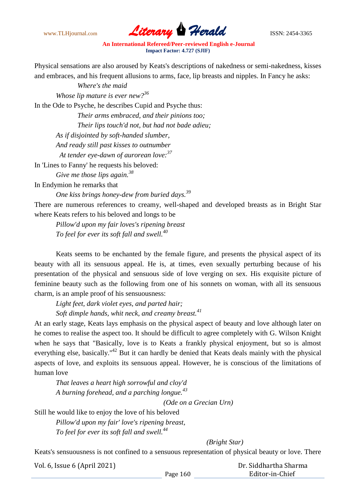www.TLHjournal.com **Literary Herald ISSN: 2454-3365** 

Physical sensations are also aroused by Keats's descriptions of nakedness or semi-nakedness, kisses and embraces, and his frequent allusions to arms, face, lip breasts and nipples. In Fancy he asks:

*Where's the maid Whose lip mature is ever new?<sup>36</sup>* In the Ode to Psyche, he describes Cupid and Psyche thus: *Their arms embraced, and their pinions too; Their lips touch'd not, but had not bade adieu; As if disjointed by soft-handed slumber, And ready still past kisses to outnumber At tender eye-dawn of aurorean love:<sup>37</sup>* In 'Lines to Fanny' he requests his beloved: *Give me those lips again.<sup>38</sup>*

In Endymion he remarks that

*One kiss brings honey-dew from buried days.<sup>39</sup>*

There are numerous references to creamy, well-shaped and developed breasts as in Bright Star where Keats refers to his beloved and longs to be

*Pillow'd upon my fair loves's ripening breast To feel for ever its soft fall and swell.<sup>40</sup>*

Keats seems to be enchanted by the female figure, and presents the physical aspect of its beauty with all its sensuous appeal. He is, at times, even sexually perturbing because of his presentation of the physical and sensuous side of love verging on sex. His exquisite picture of feminine beauty such as the following from one of his sonnets on woman, with all its sensuous charm, is an ample proof of his sensuousness:

*Light feet, dark violet eyes, and parted hair;*

*Soft dimple hands, whit neck, and creamy breast.<sup>41</sup>*

At an early stage, Keats lays emphasis on the physical aspect of beauty and love although later on he comes to realise the aspect too. It should be difficult to agree completely with G. Wilson Knight when he says that "Basically, love is to Keats a frankly physical enjoyment, but so is almost everything else, basically."<sup>42</sup> But it can hardly be denied that Keats deals mainly with the physical aspects of love, and exploits its sensuous appeal. However, he is conscious of the limitations of human love

*That leaves a heart high sorrowful and cloy'd A burning forehead, and a parching longue.<sup>43</sup>*

*(Ode on a Grecian Urn)*

Still he would like to enjoy the love of his beloved

*Pillow'd upon my fair' love's ripening breast, To feel for ever its soft fall and swell.<sup>44</sup>*

*(Bright Star)*

Keats's sensuousness is not confined to a sensuous representation of physical beauty or love. There

| Vol. 6, Issue 6 (April 2021) |          | Dr. Siddhartha Sharma |
|------------------------------|----------|-----------------------|
|                              | Page 160 | Editor-in-Chief       |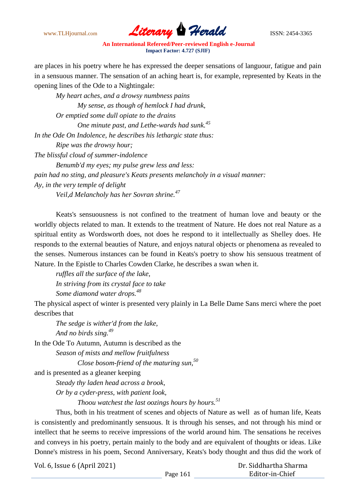www.TLHjournal.com **Literary Herald** ISSN: 2454-3365

are places in his poetry where he has expressed the deeper sensations of languour, fatigue and pain in a sensuous manner. The sensation of an aching heart is, for example, represented by Keats in the opening lines of the Ode to a Nightingale:

*My heart aches, and a drowsy numbness pains My sense, as though of hemlock I had drunk, Or emptied some dull opiate to the drains One minute past, and Lethe-wards had sunk.<sup>45</sup> In the Ode On Indolence, he describes his lethargic state thus: Ripe was the drowsy hour; The blissful cloud of summer-indolence Benumb'd my eyes; my pulse grew less and less: pain had no sting, and pleasure's Keats presents melancholy in a visual manner: Ay, in the very temple of delight* 

*Veil,d Melancholy has her Sovran shrine.<sup>47</sup>*

Keats's sensuousness is not confined to the treatment of human love and beauty or the worldly objects related to man. It extends to the treatment of Nature. He does not real Nature as a spiritual entity as Wordsworth does, not does he respond to it intellectually as Shelley does. He responds to the external beauties of Nature, and enjoys natural objects or phenomena as revealed to the senses. Numerous instances can be found in Keats's poetry to show his sensuous treatment of Nature. In the Epistle to Charles Cowden Clarke, he describes a swan when it.

*ruffles all the surface of the lake, In striving from its crystal face to take Some diamond water drops.<sup>48</sup>*

The physical aspect of winter is presented very plainly in La Belle Dame Sans merci where the poet describes that

*The sedge is wither'd from the lake, And no birds sing.<sup>49</sup>*

In the Ode To Autumn, Autumn is described as the

*Season of mists and mellow fruitfulness*

*Close bosom-friend of the maturing sun,<sup>50</sup>*

and is presented as a gleaner keeping

*Steady thy laden head across a brook,*

*Or by a cyder-press, with patient look,*

*Thoou watchest the last oozings hours by hours.<sup>51</sup>*

Thus, both in his treatment of scenes and objects of Nature as well as of human life, Keats is consistently and predominantly sensuous. It is through his senses, and not through his mind or intellect that he seems to receive impressions of the world around him. The sensations he receives and conveys in his poetry, pertain mainly to the body and are equivalent of thoughts or ideas. Like Donne's mistress in his poem, Second Anniversary, Keats's body thought and thus did the work of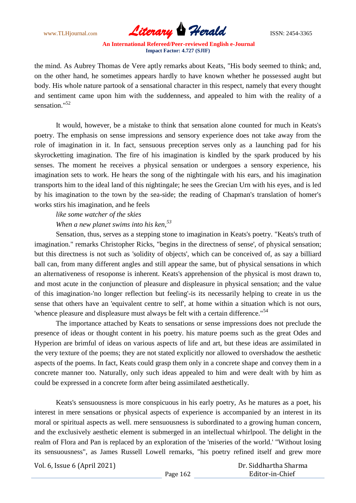www.TLHjournal.com **Literary Herald** ISSN: 2454-3365

the mind. As Aubrey Thomas de Vere aptly remarks about Keats, "His body seemed to think; and, on the other hand, he sometimes appears hardly to have known whether he possessed aught but body. His whole nature partook of a sensational character in this respect, namely that every thought and sentiment came upon him with the suddenness, and appealed to him with the reality of a sensation."<sup>52</sup>

It would, however, be a mistake to think that sensation alone counted for much in Keats's poetry. The emphasis on sense impressions and sensory experience does not take away from the role of imagination in it. In fact, sensuous preception serves only as a launching pad for his skyrocketting imagination. The fire of his imagination is kindled by the spark produced by his senses. The moment he receives a physical sensation or undergoes a sensory experience, his imagination sets to work. He hears the song of the nightingale with his ears, and his imagination transports him to the ideal land of this nightingale; he sees the Grecian Urn with his eyes, and is led by his imagination to the town by the sea-side; the reading of Chapman's translation of homer's works stirs his imagination, and he feels

*like some watcher of the skies*

*When a new planet swims into his ken,<sup>53</sup>*

Sensation, thus, serves as a stepping stone to imagination in Keats's poetry. "Keats's truth of imagination." remarks Christopher Ricks, "begins in the directness of sense', of physical sensation; but this directness is not such as 'solidity of objects', which can be conceived of, as say a billiard ball can, from many different angles and still appear the same, but of physical sensations in which an alternativeness of resoponse is inherent. Keats's apprehension of the physical is most drawn to, and most acute in the conjunction of pleasure and displeasure in physical sensation; and the value of this imagination-'no longer reflection but feeling'-is its necessarily helping to create in us the sense that others have an 'equivalent centre to self', at home within a situation which is not ours, 'whence pleasure and displeasure must always be felt with a certain difference."<sup>54</sup>

The importance attached by Keats to sensations or sense impressions does not preclude the presence of ideas or thought content in his poetry. his mature poems such as the great Odes and Hyperion are brimful of ideas on various aspects of life and art, but these ideas are assimilated in the very texture of the poems; they are not stated explicitly nor allowed to overshadow the aesthetic aspects of the poems. In fact, Keats could grasp them only in a concrete shape and convey them in a concrete manner too. Naturally, only such ideas appealed to him and were dealt with by him as could be expressed in a concrete form after being assimilated aesthetically.

Keats's sensuousness is more conspicuous in his early poetry, As he matures as a poet, his interest in mere sensations or physical aspects of experience is accompanied by an interest in its moral or spiritual aspects as well. mere sensuousness is subordinated to a growing human concern, and the exclusively aesthetic element is submerged in an intellectual whirlpool. The delight in the realm of Flora and Pan is replaced by an exploration of the 'miseries of the world.' "Without losing its sensuousness", as James Russell Lowell remarks, "his poetry refined itself and grew more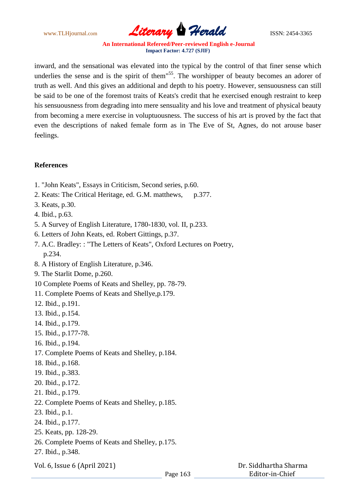

inward, and the sensational was elevated into the typical by the control of that finer sense which underlies the sense and is the spirit of them"<sup>55</sup>. The worshipper of beauty becomes an adorer of truth as well. And this gives an additional and depth to his poetry. However, sensuousness can still be said to be one of the foremost traits of Keats's credit that he exercised enough restraint to keep his sensuousness from degrading into mere sensuality and his love and treatment of physical beauty from becoming a mere exercise in voluptuousness. The success of his art is proved by the fact that even the descriptions of naked female form as in The Eve of St, Agnes, do not arouse baser feelings.

## **References**

- 1. "John Keats", Essays in Criticism, Second series, p.60.
- 2. Keats: The Critical Heritage, ed. G.M. matthews, p.377.
- 3. Keats, p.30.
- 4. Ibid., p.63.
- 5. A Survey of English Literature, 1780-1830, vol. II, p.233.
- 6. Letters of John Keats, ed. Robert Gittings, p.37.
- 7. A.C. Bradley: : "The Letters of Keats", Oxford Lectures on Poetry, p.234.
- 8. A History of English Literature, p.346.
- 9. The Starlit Dome, p.260.
- 10 Complete Poems of Keats and Shelley, pp. 78-79.
- 11. Complete Poems of Keats and Shellye,p.179.
- 12. Ibid., p.191.
- 13. Ibid., p.154.
- 14. Ibid., p.179.
- 15. Ibid., p.177-78.
- 16. Ibid., p.194.
- 17. Complete Poems of Keats and Shelley, p.184.
- 18. Ibid., p.168.
- 19. Ibid., p.383.
- 20. Ibid., p.172.
- 21. Ibid., p.179.
- 22. Complete Poems of Keats and Shelley, p.185.
- 23. Ibid., p.1.
- 24. Ibid., p.177.
- 25. Keats, pp. 128-29.
- 26. Complete Poems of Keats and Shelley, p.175.
- 27. Ibid., p.348.